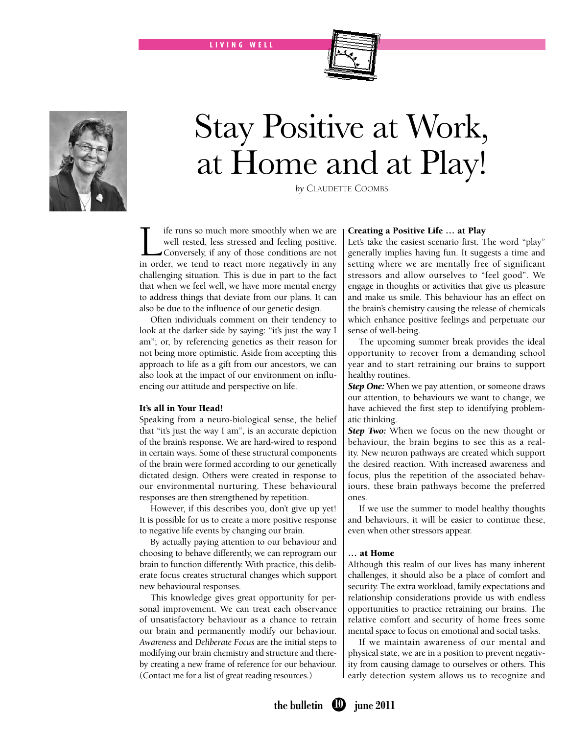LIVING WELL



# Stay Positive at Work, at Home and at Play!

*by* Claudette Coombs

**Life runs so much more smoothly when we are** well rested, less stressed and feeling positive.<br>Conversely, if any of those conditions are not in order we tend to react more negatively in any well rested, less stressed and feeling positive. Conversely, if any of those conditions are not in order, we tend to react more negatively in any challenging situation. This is due in part to the fact that when we feel well, we have more mental energy to address things that deviate from our plans. It can also be due to the influence of our genetic design.

Often individuals comment on their tendency to look at the darker side by saying: "it's just the way I am"; or, by referencing genetics as their reason for not being more optimistic. Aside from accepting this approach to life as a gift from our ancestors, we can also look at the impact of our environment on influencing our attitude and perspective on life.

#### It's all in Your Head!

Speaking from a neuro-biological sense, the belief that "it's just the way I am", is an accurate depiction of the brain's response. We are hard-wired to respond in certain ways. Some of these structural components of the brain were formed according to our genetically dictated design. Others were created in response to our environmental nurturing. These behavioural responses are then strengthened by repetition.

However, if this describes you, don't give up yet! It is possible for us to create a more positive response to negative life events by changing our brain.

By actually paying attention to our behaviour and choosing to behave differently, we can reprogram our brain to function differently. With practice, this deliberate focus creates structural changes which support new behavioural responses.

This knowledge gives great opportunity for personal improvement. We can treat each observance of unsatisfactory behaviour as a chance to retrain our brain and permanently modify our behaviour. *Awareness* and *Deliberate Focus* are the initial steps to modifying our brain chemistry and structure and thereby creating a new frame of reference for our behaviour. (Contact me for a list of great reading resources.)

## Creating a Positive Life … at Play

Let's take the easiest scenario first. The word "play" generally implies having fun. It suggests a time and setting where we are mentally free of significant stressors and allow ourselves to "feel good". We engage in thoughts or activities that give us pleasure and make us smile. This behaviour has an effect on the brain's chemistry causing the release of chemicals which enhance positive feelings and perpetuate our sense of well-being.

The upcoming summer break provides the ideal opportunity to recover from a demanding school year and to start retraining our brains to support healthy routines.

**Step One:** When we pay attention, or someone draws our attention, to behaviours we want to change, we have achieved the first step to identifying problematic thinking.

**Step Two:** When we focus on the new thought or behaviour, the brain begins to see this as a reality. New neuron pathways are created which support the desired reaction. With increased awareness and focus, plus the repetition of the associated behaviours, these brain pathways become the preferred ones.

If we use the summer to model healthy thoughts and behaviours, it will be easier to continue these, even when other stressors appear.

## … at Home

Although this realm of our lives has many inherent challenges, it should also be a place of comfort and security. The extra workload, family expectations and relationship considerations provide us with endless opportunities to practice retraining our brains. The relative comfort and security of home frees some mental space to focus on emotional and social tasks.

If we maintain awareness of our mental and physical state, we are in a position to prevent negativity from causing damage to ourselves or others. This early detection system allows us to recognize and